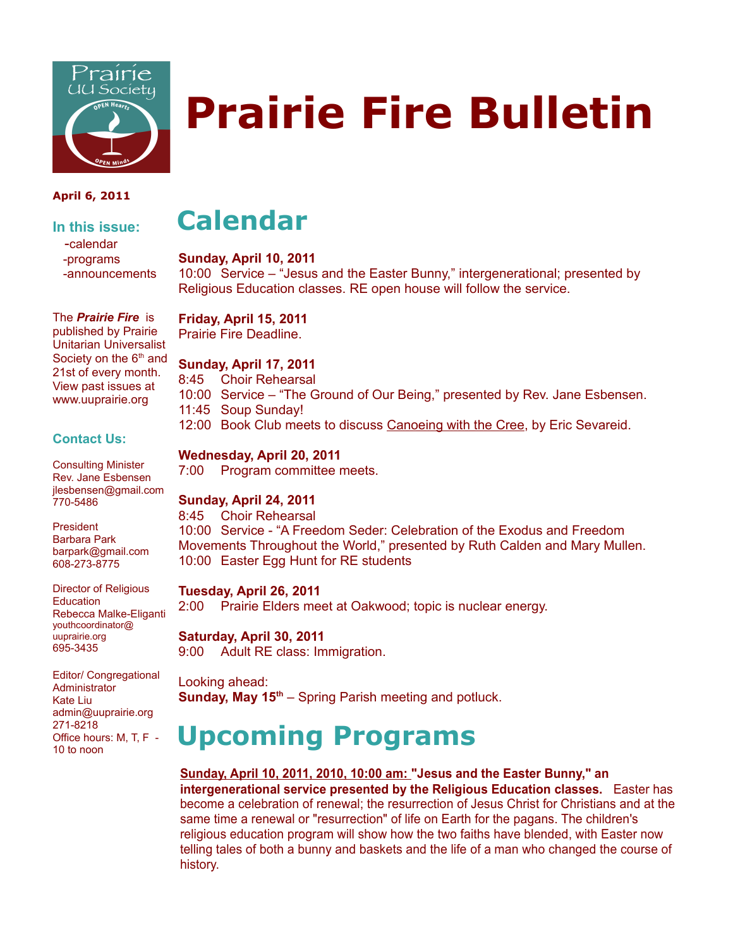

# **Prairie Fire Bulletin**

#### **April 6, 2011**

**In this issue:** -calendar -programs -announcements

The *Prairie Fire* is published by Prairie Unitarian Universalist Society on the  $6<sup>th</sup>$  and 21st of every month. View past issues at www.uuprairie.org

#### **Contact Us:**

Consulting Minister Rev. Jane Esbensen jlesbensen@gmail.com 770-5486

President Barbara Park barpark@gmail.com 608-273-8775

Director of Religious **Education** Rebecca Malke-Eliganti youthcoordinator@ uuprairie.org 695-3435

Editor/ Congregational **Administrator** Kate Liu admin@uuprairie.org 271-8218 Office hours: M, T, F - 10 to noon

## **Calendar**

#### **Sunday, April 10, 2011**

10:00 Service – "Jesus and the Easter Bunny," intergenerational; presented by Religious Education classes. RE open house will follow the service.

#### **Friday, April 15, 2011**

Prairie Fire Deadline.

#### **Sunday, April 17, 2011**

8:45 Choir Rehearsal

- 10:00 Service "The Ground of Our Being," presented by Rev. Jane Esbensen. 11:45 Soup Sunday!
- 12:00 Book Club meets to discuss Canoeing with the Cree, by Eric Sevareid.

#### **Wednesday, April 20, 2011**

7:00 Program committee meets.

#### **Sunday, April 24, 2011**

8:45 Choir Rehearsal 10:00 Service - "A Freedom Seder: Celebration of the Exodus and Freedom Movements Throughout the World," presented by Ruth Calden and Mary Mullen. 10:00 Easter Egg Hunt for RE students

#### **Tuesday, April 26, 2011**

2:00 Prairie Elders meet at Oakwood; topic is nuclear energy.

#### **Saturday, April 30, 2011**

9:00 Adult RE class: Immigration.

Looking ahead: **Sunday, May 15th** – Spring Parish meeting and potluck.

# **Upcoming Programs**

**Sunday, April 10, 2011, 2010, 10:00 am: "Jesus and the Easter Bunny," an intergenerational service presented by the Religious Education classes.** Easter has become a celebration of renewal; the resurrection of Jesus Christ for Christians and at the same time a renewal or "resurrection" of life on Earth for the pagans. The children's religious education program will show how the two faiths have blended, with Easter now telling tales of both a bunny and baskets and the life of a man who changed the course of history.